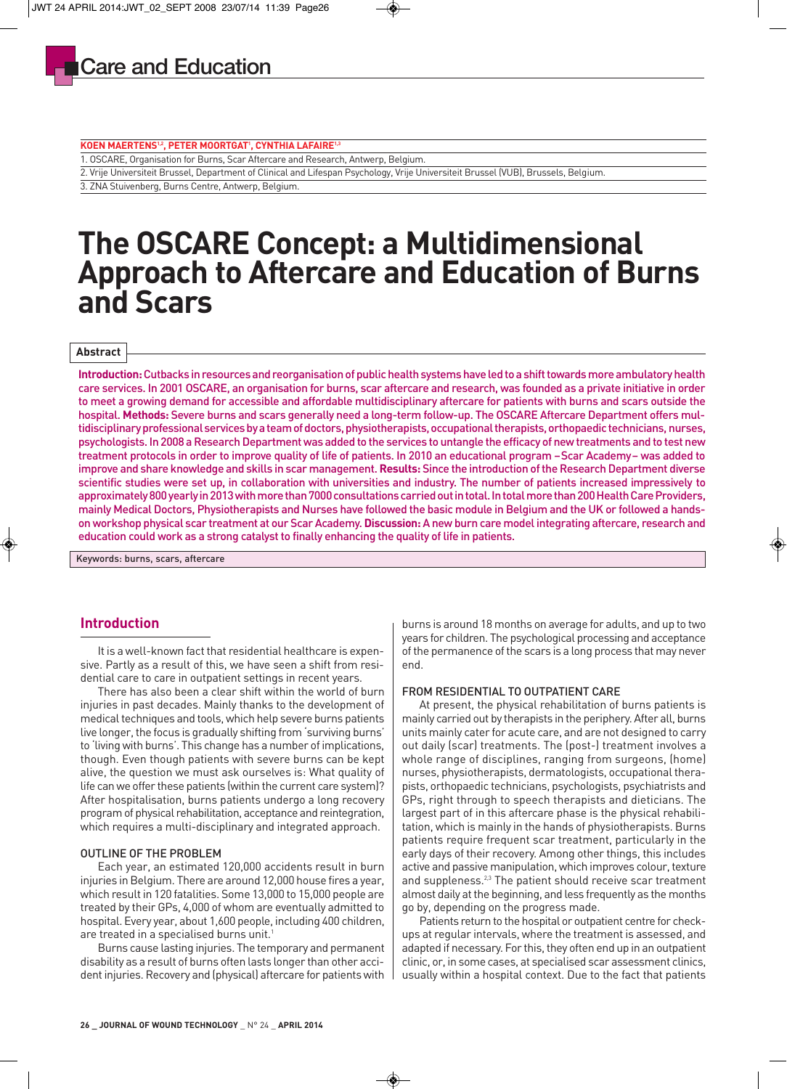#### **KOEN MAERTENS1,2, PETER MOORTGAT1 , CYNTHIA LAFAIRE1,3**

1. OSCARE, Organisation for Burns, Scar Aftercare and Research, Antwerp, Belgium.

2. Vrije Universiteit Brussel, Department of Clinical and Lifespan Psychology, Vrije Universiteit Brussel (VUB), Brussels, Belgium.

3. ZNA Stuivenberg, Burns Centre, Antwerp, Belgium.

# **The OSCARE Concept: a Multidimensional Approach to Aftercare and Education of Burns and Scars**

#### **Abstract**

**Introduction:** Cutbacks in resources and reorganisation of public health systems have led to a shift towards more ambulatory health care services. In 2001 OSCARE, an organisation for burns, scar aftercare and research, was founded as a private initiative in order to meet a growing demand for accessible and affordable multidisciplinary aftercare for patients with burns and scars outside the hospital. **Methods:** Severe burns and scars generally need a long-term follow-up. The OSCARE Aftercare Department offers multidisciplinary professional services by a team of doctors, physiotherapists, occupational therapists, orthopaedic technicians, nurses, psychologists. In 2008 a Research Department was added to the services to untangle the efficacy of new treatments and to test new treatment protocols in order to improve quality of life of patients. In 2010 an educational program –Scar Academy– was added to improve and share knowledge and skills in scar management. **Results:** Since the introduction of the Research Department diverse scientific studies were set up, in collaboration with universities and industry. The number of patients increased impressively to approximately 800 yearly in 2013 with more than 7000 consultations carried out in total. In total more than 200 Health Care Providers, mainly Medical Doctors, Physiotherapists and Nurses have followed the basic module in Belgium and the UK or followed a handson workshop physical scar treatment at our Scar Academy. **Discussion:** A new burn care model integrating aftercare, research and education could work as a strong catalyst to finally enhancing the quality of life in patients.

Keywords: burns, scars, aftercare

## **Introduction**

It is a well-known fact that residential healthcare is expensive. Partly as a result of this, we have seen a shift from residential care to care in outpatient settings in recent years.

There has also been a clear shift within the world of burn injuries in past decades. Mainly thanks to the development of medical techniques and tools, which help severe burns patients live longer, the focus is gradually shifting from 'surviving burns' to 'living with burns'. This change has a number of implications, though. Even though patients with severe burns can be kept alive, the question we must ask ourselves is: What quality of life can we offer these patients (within the current care system)? After hospitalisation, burns patients undergo a long recovery program of physical rehabilitation, acceptance and reintegration, which requires a multi-disciplinary and integrated approach.

#### OUTLINE OF THE PROBLEM

Each year, an estimated 120,000 accidents result in burn injuries in Belgium. There are around 12,000 house fires a year, which result in 120 fatalities. Some 13,000 to 15,000 people are treated by their GPs, 4,000 of whom are eventually admitted to hospital. Every year, about 1,600 people, including 400 children, are treated in a specialised burns unit.<sup>1</sup>

Burns cause lasting injuries. The temporary and permanent disability as a result of burns often lasts longer than other accident injuries. Recovery and (physical) aftercare for patients with burns is around 18 months on average for adults, and up to two years for children. The psychological processing and acceptance of the permanence of the scars is a long process that may never end.

#### FROM RESIDENTIAL TO OUTPATIENT CARE

At present, the physical rehabilitation of burns patients is mainly carried out by therapists in the periphery. After all, burns units mainly cater for acute care, and are not designed to carry out daily (scar) treatments. The (post-) treatment involves a whole range of disciplines, ranging from surgeons, (home) nurses, physiotherapists, dermatologists, occupational therapists, orthopaedic technicians, psychologists, psychiatrists and GPs, right through to speech therapists and dieticians. The largest part of in this aftercare phase is the physical rehabilitation, which is mainly in the hands of physiotherapists. Burns patients require frequent scar treatment, particularly in the early days of their recovery. Among other things, this includes active and passive manipulation, which improves colour, texture and suppleness.<sup>2,3</sup> The patient should receive scar treatment almost daily at the beginning, and less frequently as the months go by, depending on the progress made.

Patients return to the hospital or outpatient centre for checkups at regular intervals, where the treatment is assessed, and adapted if necessary. For this, they often end up in an outpatient clinic, or, in some cases, at specialised scar assessment clinics, usually within a hospital context. Due to the fact that patients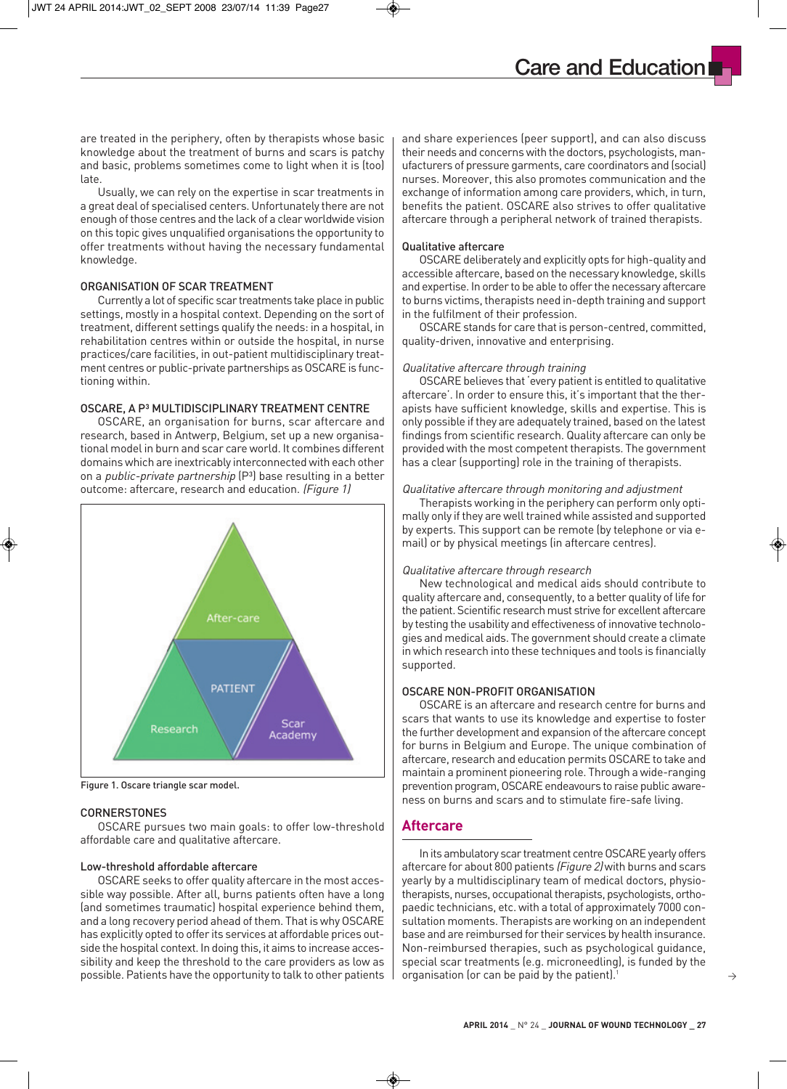are treated in the periphery, often by therapists whose basic knowledge about the treatment of burns and scars is patchy and basic, problems sometimes come to light when it is (too)

Usually, we can rely on the expertise in scar treatments in a great deal of specialised centers. Unfortunately there are not enough of those centres and the lack of a clear worldwide vision on this topic gives unqualified organisations the opportunity to offer treatments without having the necessary fundamental knowledge.

## ORGANISATION OF SCAR TREATMENT

late.

Currently a lot of specific scar treatments take place in public settings, mostly in a hospital context. Depending on the sort of treatment, different settings qualify the needs: in a hospital, in rehabilitation centres within or outside the hospital, in nurse practices/care facilities, in out-patient multidisciplinary treatment centres or public-private partnerships as OSCARE is functioning within.

## OSCARE, A P<sup>3</sup> MULTIDISCIPLINARY TREATMENT CENTRE

OSCARE, an organisation for burns, scar aftercare and research, based in Antwerp, Belgium, set up a new organisational model in burn and scar care world. It combines different domains which are inextricably interconnected with each other on a *public-private partnership*  $(P<sup>3</sup>)$  base resulting in a better outcome: aftercare, research and education. (Figure 1)



Figure 1. Oscare triangle scar model.

### **CORNERSTONES**

OSCARE pursues two main goals: to offer low-threshold affordable care and qualitative aftercare.

## Low-threshold affordable aftercare

OSCARE seeks to offer quality aftercare in the most accessible way possible. After all, burns patients often have a long (and sometimes traumatic) hospital experience behind them, and a long recovery period ahead of them. That is why OSCARE has explicitly opted to offer its services at affordable prices outside the hospital context. In doing this, it aims to increase accessibility and keep the threshold to the care providers as low as possible. Patients have the opportunity to talk to other patients and share experiences (peer support), and can also discuss their needs and concerns with the doctors, psychologists, manufacturers of pressure garments, care coordinators and (social) nurses. Moreover, this also promotes communication and the exchange of information among care providers, which, in turn, benefits the patient. OSCARE also strives to offer qualitative aftercare through a peripheral network of trained therapists.

**Care and Education**

### Qualitative aftercare

OSCARE deliberately and explicitly opts for high-quality and accessible aftercare, based on the necessary knowledge, skills and expertise. In order to be able to offer the necessary aftercare to burns victims, therapists need in-depth training and support in the fulfilment of their profession.

OSCARE stands for care that is person-centred, committed, quality-driven, innovative and enterprising.

### Qualitative aftercare through training

OSCARE believes that 'every patient is entitled to qualitative aftercare'. In order to ensure this, it's important that the therapists have sufficient knowledge, skills and expertise. This is only possible if they are adequately trained, based on the latest findings from scientific research. Quality aftercare can only be provided with the most competent therapists. The government has a clear (supporting) role in the training of therapists.

## Qualitative aftercare through monitoring and adjustment

Therapists working in the periphery can perform only optimally only if they are well trained while assisted and supported by experts. This support can be remote (by telephone or via email) or by physical meetings (in aftercare centres).

### Qualitative aftercare through research

New technological and medical aids should contribute to quality aftercare and, consequently, to a better quality of life for the patient. Scientific research must strive for excellent aftercare by testing the usability and effectiveness of innovative technologies and medical aids. The government should create a climate in which research into these techniques and tools is financially supported.

## OSCARE NON-PROFIT ORGANISATION

OSCARE is an aftercare and research centre for burns and scars that wants to use its knowledge and expertise to foster the further development and expansion of the aftercare concept for burns in Belgium and Europe. The unique combination of aftercare, research and education permits OSCARE to take and maintain a prominent pioneering role. Through a wide-ranging prevention program, OSCARE endeavours to raise public awareness on burns and scars and to stimulate fire-safe living.

## **Aftercare**

In its ambulatory scar treatment centre OSCARE yearly offers aftercare for about 800 patients (Figure 2) with burns and scars yearly by a multidisciplinary team of medical doctors, physiotherapists, nurses, occupational therapists, psychologists, ortho paedic technicians, etc. with a total of approximately 7000 consultation moments. Therapists are working on an independent base and are reimbursed for their services by health insurance. Non-reimbursed therapies, such as psychological guidance, special scar treatments (e.g. microneedling), is funded by the organisation (or can be paid by the patient).1

 $\rightarrow$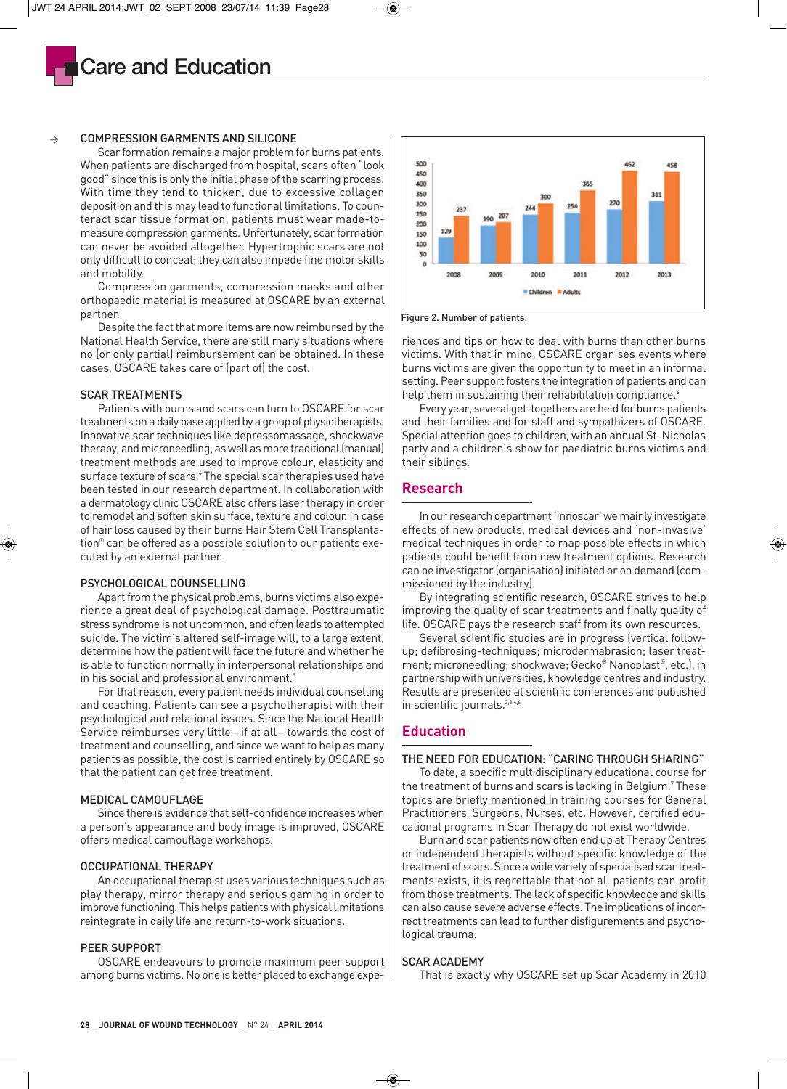

#### $\rightarrow$ COMPRESSION GARMENTS AND SILICONE

Scar formation remains a major problem for burns patients. When patients are discharged from hospital, scars often "look good" since this is only the initial phase of the scarring process. With time they tend to thicken, due to excessive collagen deposition and this may lead to functional limitations. To counteract scar tissue formation, patients must wear made-tomeasure compression garments. Unfortunately, scar formation can never be avoided altogether. Hypertrophic scars are not only difficult to conceal; they can also impede fine motor skills and mobility.

Compression garments, compression masks and other orthopaedic material is measured at OSCARE by an external partner.

Despite the fact that more items are now reimbursed by the National Health Service, there are still many situations where no (or only partial) reimbursement can be obtained. In these cases, OSCARE takes care of (part of) the cost.

#### SCAR TREATMENTS

Patients with burns and scars can turn to OSCARE for scar treatments on a daily base applied by a group of physiotherapists. Innovative scar techniques like depressomassage, shockwave therapy, and microneedling, as well as more traditional (manual) treatment methods are used to improve colour, elasticity and surface texture of scars.<sup>4</sup> The special scar therapies used have been tested in our research department. In collaboration with a dermatology clinic OSCARE also offers laser therapy in order to remodel and soften skin surface, texture and colour. In case of hair loss caused by their burns Hair Stem Cell Transplantation® can be offered as a possible solution to our patients executed by an external partner.

#### PSYCHOLOGICAL COUNSELLING

Apart from the physical problems, burns victims also experience a great deal of psychological damage. Posttraumatic stress syndrome is not uncommon, and often leads to attempted suicide. The victim's altered self-image will, to a large extent, determine how the patient will face the future and whether he is able to function normally in interpersonal relationships and in his social and professional environment.<sup>5</sup>

For that reason, every patient needs individual counselling and coaching. Patients can see a psychotherapist with their psychological and relational issues. Since the National Health Service reimburses very little –if at all– towards the cost of treatment and counselling, and since we want to help as many patients as possible, the cost is carried entirely by OSCARE so that the patient can get free treatment.

#### MEDICAL CAMOUFLAGE

Since there is evidence that self-confidence increases when a person's appearance and body image is improved, OSCARE offers medical camouflage workshops.

## OCCUPATIONAL THERAPY

An occupational therapist uses various techniques such as play therapy, mirror therapy and serious gaming in order to improve functioning. This helps patients with physical limitations reintegrate in daily life and return-to-work situations.

## PEER SUPPORT

OSCARE endeavours to promote maximum peer support among burns victims. No one is better placed to exchange expe-



Figure 2. Number of patients.

riences and tips on how to deal with burns than other burns victims. With that in mind, OSCARE organises events where burns victims are given the opportunity to meet in an informal setting. Peer support fosters the integration of patients and can help them in sustaining their rehabilitation compliance.<sup>6</sup>

Every year, several get-togethers are held for burns patients and their families and for staff and sympathizers of OSCARE. Special attention goes to children, with an annual St. Nicholas party and a children's show for paediatric burns victims and their siblings.

## **Research**

In our research department 'Innoscar' we mainly investigate effects of new products, medical devices and 'non-invasive' medical techniques in order to map possible effects in which patients could benefit from new treatment options. Research can be investigator (organisation) initiated or on demand (commissioned by the industry).

By integrating scientific research, OSCARE strives to help improving the quality of scar treatments and finally quality of life. OSCARE pays the research staff from its own resources.

Several scientific studies are in progress (vertical followup; defibrosing-techniques; microdermabrasion; laser treatment; microneedling; shockwave; Gecko® Nanoplast®, etc.), in partnership with universities, knowledge centres and industry. Results are presented at scientific conferences and published in scientific journals.<sup>2,3,4,6</sup>

## **Education**

### THE NEED FOR EDUCATION: "CARING THROUGH SHARING"

To date, a specific multidisciplinary educational course for the treatment of burns and scars is lacking in Belgium.<sup>7</sup> These topics are briefly mentioned in training courses for General Practitioners, Surgeons, Nurses, etc. However, certified educational programs in Scar Therapy do not exist worldwide.

Burn and scar patients now often end up at Therapy Centres or independent therapists without specific knowledge of the treatment of scars. Since a wide variety of specialised scar treatments exists, it is regrettable that not all patients can profit from those treatments. The lack of specific knowledge and skills can also cause severe adverse effects. The implications of incorrect treatments can lead to further disfigurements and psychological trauma.

#### SCAR ACADEMY

That is exactly why OSCARE set up Scar Academy in 2010